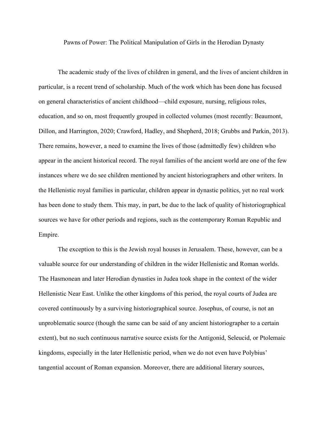Pawns of Power: The Political Manipulation of Girls in the Herodian Dynasty

The academic study of the lives of children in general, and the lives of ancient children in particular, is a recent trend of scholarship. Much of the work which has been done has focused on general characteristics of ancient childhood—child exposure, nursing, religious roles, education, and so on, most frequently grouped in collected volumes (most recently: Beaumont, Dillon, and Harrington, 2020; Crawford, Hadley, and Shepherd, 2018; Grubbs and Parkin, 2013). There remains, however, a need to examine the lives of those (admittedly few) children who appear in the ancient historical record. The royal families of the ancient world are one of the few instances where we do see children mentioned by ancient historiographers and other writers. In the Hellenistic royal families in particular, children appear in dynastic politics, yet no real work has been done to study them. This may, in part, be due to the lack of quality of historiographical sources we have for other periods and regions, such as the contemporary Roman Republic and Empire.

The exception to this is the Jewish royal houses in Jerusalem. These, however, can be a valuable source for our understanding of children in the wider Hellenistic and Roman worlds. The Hasmonean and later Herodian dynasties in Judea took shape in the context of the wider Hellenistic Near East. Unlike the other kingdoms of this period, the royal courts of Judea are covered continuously by a surviving historiographical source. Josephus, of course, is not an unproblematic source (though the same can be said of any ancient historiographer to a certain extent), but no such continuous narrative source exists for the Antigonid, Seleucid, or Ptolemaic kingdoms, especially in the later Hellenistic period, when we do not even have Polybius' tangential account of Roman expansion. Moreover, there are additional literary sources,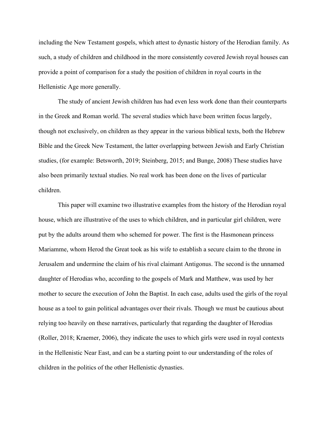including the New Testament gospels, which attest to dynastic history of the Herodian family. As such, a study of children and childhood in the more consistently covered Jewish royal houses can provide a point of comparison for a study the position of children in royal courts in the Hellenistic Age more generally.

The study of ancient Jewish children has had even less work done than their counterparts in the Greek and Roman world. The several studies which have been written focus largely, though not exclusively, on children as they appear in the various biblical texts, both the Hebrew Bible and the Greek New Testament, the latter overlapping between Jewish and Early Christian studies, (for example: Betsworth, 2019; Steinberg, 2015; and Bunge, 2008) These studies have also been primarily textual studies. No real work has been done on the lives of particular children.

This paper will examine two illustrative examples from the history of the Herodian royal house, which are illustrative of the uses to which children, and in particular girl children, were put by the adults around them who schemed for power. The first is the Hasmonean princess Mariamme, whom Herod the Great took as his wife to establish a secure claim to the throne in Jerusalem and undermine the claim of his rival claimant Antigonus. The second is the unnamed daughter of Herodias who, according to the gospels of Mark and Matthew, was used by her mother to secure the execution of John the Baptist. In each case, adults used the girls of the royal house as a tool to gain political advantages over their rivals. Though we must be cautious about relying too heavily on these narratives, particularly that regarding the daughter of Herodias (Roller, 2018; Kraemer, 2006), they indicate the uses to which girls were used in royal contexts in the Hellenistic Near East, and can be a starting point to our understanding of the roles of children in the politics of the other Hellenistic dynasties.